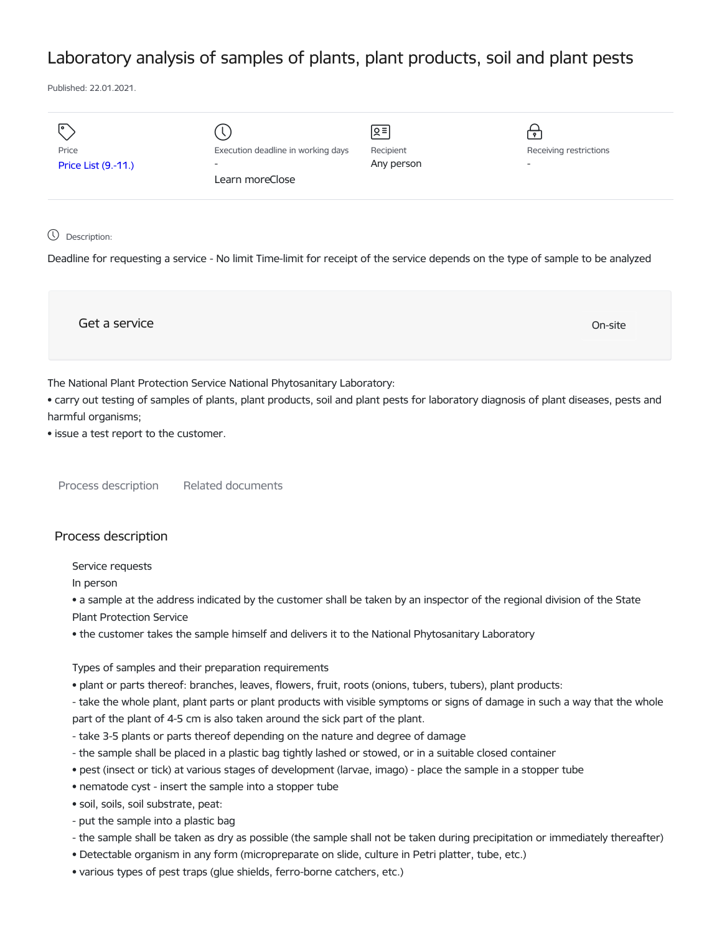## Laboratory analysis of samples of plants, plant products, soil and plant pests

Published: 22.01.2021.

| I۰                  |                                    | ু≣         | $\mathbf{P}$             |
|---------------------|------------------------------------|------------|--------------------------|
| Price               | Execution deadline in working days | Recipient  | Receiving restrictions   |
| Price List (9.-11.) | $\overline{\phantom{a}}$           | Any person | $\overline{\phantom{0}}$ |
|                     | Learn moreClose                    |            |                          |
|                     |                                    |            |                          |

## Description:

Deadline for requesting a service - No limit Time-limit for receipt of the service depends on the type of sample to be analyzed

Get a service On-site

The National Plant Protection Service National Phytosanitary Laboratory:

• carry out testing of samples of plants, plant products, soil and plant pests for laboratory diagnosis of plant diseases, pests and harmful organisms;

• issue a test report to the customer.

Process description Related documents

## Process description

Service requests

In person

• a sample at the address indicated by the customer shall be taken by an inspector of the regional division of the State Plant Protection Service

• the customer takes the sample himself and delivers it to the National Phytosanitary Laboratory

Types of samples and their preparation requirements

• plant or parts thereof: branches, leaves, flowers, fruit, roots (onions, tubers, tubers), plant products:

- take the whole plant, plant parts or plant products with visible symptoms or signs of damage in such a way that the whole part of the plant of 4-5 cm is also taken around the sick part of the plant.

- take 3-5 plants or parts thereof depending on the nature and degree of damage
- the sample shall be placed in a plastic bag tightly lashed or stowed, or in a suitable closed container
- pest (insect or tick) at various stages of development (larvae, imago) place the sample in a stopper tube
- nematode cyst insert the sample into a stopper tube
- soil, soils, soil substrate, peat:
- put the sample into a plastic bag
- the sample shall be taken as dry as possible (the sample shall not be taken during precipitation or immediately thereafter)
- Detectable organism in any form (micropreparate on slide, culture in Petri platter, tube, etc.)
- various types of pest traps (glue shields, ferro-borne catchers, etc.)